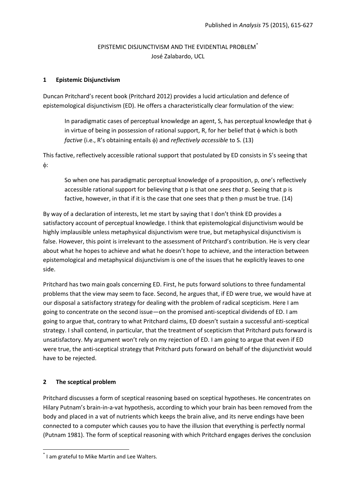# EPISTEMIC DISJUNCTIVISM AND THE EVIDENTIAL PROBLEM<sup>®</sup> José Zalabardo, UCL

# **1 Epistemic Disjunctivism**

Duncan Pritchard's recent book [\(Pritchard 2012\)](#page-9-0) provides a lucid articulation and defence of epistemological disjunctivism (ED). He offers a characteristically clear formulation of the view:

In paradigmatic cases of perceptual knowledge an agent, S, has perceptual knowledge that  $\phi$ in virtue of being in possession of rational support, R, for her belief that  $\phi$  which is both *factive* (i.e., R's obtaining entails  $\phi$ ) and *reflectively accessible* to S. (13)

This factive, reflectively accessible rational support that postulated by ED consists in S's seeing that  $\phi$ :

So when one has paradigmatic perceptual knowledge of a proposition, p, one's reflectively accessible rational support for believing that p is that one *sees that* p. Seeing that p is factive, however, in that if it is the case that one sees that p then p must be true. (14)

By way of a declaration of interests, let me start by saying that I don't think ED provides a satisfactory account of perceptual knowledge. I think that epistemological disjunctivism would be highly implausible unless metaphysical disjunctivism were true, but metaphysical disjunctivism is false. However, this point is irrelevant to the assessment of Pritchard's contribution. He is very clear about what he hopes to achieve and what he doesn't hope to achieve, and the interaction between epistemological and metaphysical disjunctivism is one of the issues that he explicitly leaves to one side.

Pritchard has two main goals concerning ED. First, he puts forward solutions to three fundamental problems that the view may seem to face. Second, he argues that, if ED were true, we would have at our disposal a satisfactory strategy for dealing with the problem of radical scepticism. Here I am going to concentrate on the second issue—on the promised anti-sceptical dividends of ED. I am going to argue that, contrary to what Pritchard claims, ED doesn't sustain a successful anti-sceptical strategy. I shall contend, in particular, that the treatment of scepticism that Pritchard puts forward is unsatisfactory. My argument won't rely on my rejection of ED. I am going to argue that even if ED were true, the anti-sceptical strategy that Pritchard puts forward on behalf of the disjunctivist would have to be rejected.

# **2 The sceptical problem**

Pritchard discusses a form of sceptical reasoning based on sceptical hypotheses. He concentrates on Hilary Putnam's brain-in-a-vat hypothesis, according to which your brain has been removed from the body and placed in a vat of nutrients which keeps the brain alive, and its nerve endings have been connected to a computer which causes you to have the illusion that everything is perfectly normal [\(Putnam 1981\)](#page-9-1). The form of sceptical reasoning with which Pritchard engages derives the conclusion

**<sup>.</sup>** \* I am grateful to Mike Martin and Lee Walters.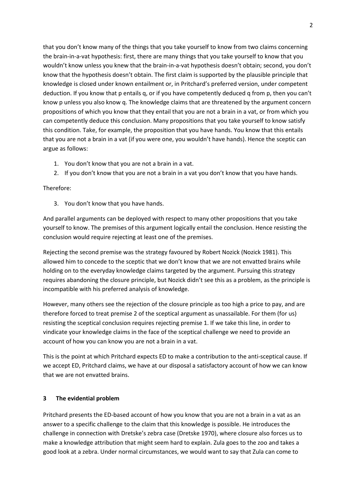that you don't know many of the things that you take yourself to know from two claims concerning the brain-in-a-vat hypothesis: first, there are many things that you take yourself to know that you wouldn't know unless you knew that the brain-in-a-vat hypothesis doesn't obtain; second, you don't know that the hypothesis doesn't obtain. The first claim is supported by the plausible principle that knowledge is closed under known entailment or, in Pritchard's preferred version, under competent deduction. If you know that p entails q, or if you have competently deduced q from p, then you can't know p unless you also know q. The knowledge claims that are threatened by the argument concern propositions of which you know that they entail that you are not a brain in a vat, or from which you can competently deduce this conclusion. Many propositions that you take yourself to know satisfy this condition. Take, for example, the proposition that you have hands. You know that this entails that you are not a brain in a vat (if you were one, you wouldn't have hands). Hence the sceptic can argue as follows:

- 1. You don't know that you are not a brain in a vat.
- 2. If you don't know that you are not a brain in a vat you don't know that you have hands.

### Therefore:

3. You don't know that you have hands.

And parallel arguments can be deployed with respect to many other propositions that you take yourself to know. The premises of this argument logically entail the conclusion. Hence resisting the conclusion would require rejecting at least one of the premises.

Rejecting the second premise was the strategy favoured by Robert Nozick [\(Nozick 1981\)](#page-9-2). This allowed him to concede to the sceptic that we don't know that we are not envatted brains while holding on to the everyday knowledge claims targeted by the argument. Pursuing this strategy requires abandoning the closure principle, but Nozick didn't see this as a problem, as the principle is incompatible with his preferred analysis of knowledge.

However, many others see the rejection of the closure principle as too high a price to pay, and are therefore forced to treat premise 2 of the sceptical argument as unassailable. For them (for us) resisting the sceptical conclusion requires rejecting premise 1. If we take this line, in order to vindicate your knowledge claims in the face of the sceptical challenge we need to provide an account of how you can know you are not a brain in a vat.

This is the point at which Pritchard expects ED to make a contribution to the anti-sceptical cause. If we accept ED, Pritchard claims, we have at our disposal a satisfactory account of how we can know that we are not envatted brains.

# **3 The evidential problem**

Pritchard presents the ED-based account of how you know that you are not a brain in a vat as an answer to a specific challenge to the claim that this knowledge is possible. He introduces the challenge in connection with Dretske's zebra case [\(Dretske 1970\)](#page-9-3), where closure also forces us to make a knowledge attribution that might seem hard to explain. Zula goes to the zoo and takes a good look at a zebra. Under normal circumstances, we would want to say that Zula can come to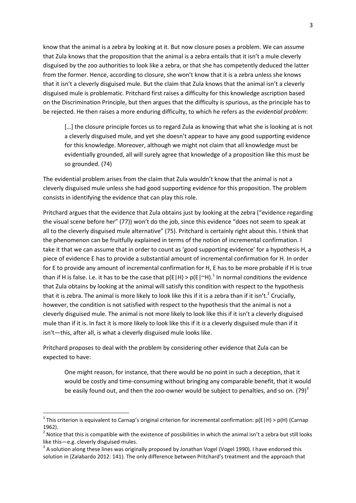know that the animal is a zebra by looking at it. But now closure poses a problem. We can assume that Zula knows that the proposition that the animal is a zebra entails that it isn't a mule cleverly disguised by the zoo authorities to look like a zebra, or that she has competently deduced the latter from the former. Hence, according to closure, she won't know that it is a zebra unless she knows that it isn't a cleverly disguised mule. But the claim that Zula knows that the animal isn't a cleverly disguised mule is problematic. Pritchard first raises a difficulty for this knowledge ascription based on the Discrimination Principle, but then argues that the difficulty is spurious, as the principle has to be rejected. He then raises a more enduring difficulty, to which he refers as the *evidential problem*:

[...] the closure principle forces us to regard Zula as knowing that what she is looking at is not a cleverly disguised mule, and yet she doesn't appear to have any good supporting evidence for this knowledge. Moreover, although we might not claim that all knowledge must be evidentially grounded, all will surely agree that knowledge of a proposition like this must be so grounded. (74)

The evidential problem arises from the claim that Zula wouldn't know that the animal is not a cleverly disguised mule unless she had good supporting evidence for this proposition. The problem consists in identifying the evidence that can play this role.

Pritchard argues that the evidence that Zula obtains just by looking at the zebra ("evidence regarding the visual scene before her" (77)) won't do the job, since this evidence "does not seem to speak at all to the cleverly disguised mule alternative" (75). Pritchard is certainly right about this. I think that the phenomenon can be fruitfully explained in terms of the notion of incremental confirmation. I take it that we can assume that in order to count as 'good supporting evidence' for a hypothesis H, a piece of evidence E has to provide a substantial amount of incremental confirmation for H. In order for E to provide any amount of incremental confirmation for H, E has to be more probable if H is true than if H is false. I.e. it has to be the case that  $p(E|H)$  >  $p(E|\sim H)$ .<sup>1</sup> In normal conditions the evidence that Zula obtains by looking at the animal will satisfy this condition with respect to the hypothesis that it is zebra. The animal is more likely to look like this if it is a zebra than if it isn't.<sup>2</sup> Crucially, however, the condition is not satisfied with respect to the hypothesis that the animal is not a cleverly disguised mule. The animal is not more likely to look like this if it isn't a cleverly disguised mule than if it is. In fact it is more likely to look like this if it *is* a cleverly disguised mule than if it isn't—this, after all, is what a cleverly disguised mule looks like.

Pritchard proposes to deal with the problem by considering other evidence that Zula can be expected to have:

**.** 

One might reason, for instance, that there would be no point in such a deception, that it would be costly and time-consuming without bringing any comparable benefit, that it would be easily found out, and then the zoo-owner would be subject to penalties, and so on. (79)<sup>3</sup>

<sup>&</sup>lt;sup>1</sup> This criterion is equivalent to Carnap's original criterion for incremental confirmation:  $p(E|H) > p(H)$  (Carnap [1962\)](#page-9-4).

 $2$  Notice that this is compatible with the existence of possibilities in which the animal isn't a zebra but still looks like this—e.g. cleverly disguised mules.

 $3$  A solution along these lines was originally proposed by Jonathan Vogel [\(Vogel 1990\)](#page-9-5). I have endorsed this solution in [\(Zalabardo 2012: 141\)](#page-9-6). The only difference between Pritchard's treatment and the approach that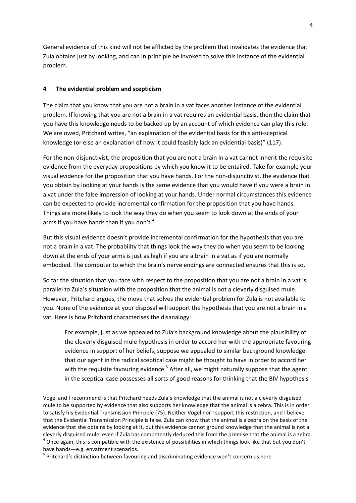General evidence of this kind will not be afflicted by the problem that invalidates the evidence that Zula obtains just by looking, and can in principle be invoked to solve this instance of the evidential problem.

#### **4 The evidential problem and scepticism**

The claim that you know that you are not a brain in a vat faces another instance of the evidential problem. If knowing that you are not a brain in a vat requires an evidential basis, then the claim that you have this knowledge needs to be backed up by an account of which evidence can play this role. We are owed, Pritchard writes, "an explanation of the evidential basis for this anti-sceptical knowledge (or else an explanation of how it could feasibly lack an evidential basis)" (117).

For the non-disjunctivist, the proposition that you are not a brain in a vat cannot inherit the requisite evidence from the everyday propositions by which you know it to be entailed. Take for example your visual evidence for the proposition that you have hands. For the non-disjunctivist, the evidence that you obtain by looking at your hands is the same evidence that you would have if you were a brain in a vat under the false impression of looking at your hands. Under normal circumstances this evidence can be expected to provide incremental confirmation for the proposition that you have hands. Things are more likely to look the way they do when you seem to look down at the ends of your arms if you have hands than if you don't.<sup>4</sup>

But this visual evidence doesn't provide incremental confirmation for the hypothesis that you are not a brain in a vat. The probability that things look the way they do when you seem to be looking down at the ends of your arms is just as high if you are a brain in a vat as if you are normally embodied. The computer to which the brain's nerve endings are connected ensures that this is so.

So far the situation that you face with respect to the proposition that you are not a brain in a vat is parallel to Zula's situation with the proposition that the animal is not a cleverly disguised mule. However, Pritchard argues, the move that solves the evidential problem for Zula is not available to you. None of the evidence at your disposal will support the hypothesis that you are not a brain in a vat. Here is how Pritchard characterises the disanalogy:

For example, just as we appealed to Zula's background knowledge about the plausibility of the cleverly disguised mule hypothesis in order to accord her with the appropriate favouring evidence in support of her beliefs, suppose we appealed to similar background knowledge that our agent in the radical sceptical case might be thought to have in order to accord her with the requisite favouring evidence.<sup>5</sup> After all, we might naturally suppose that the agent in the sceptical case possesses all sorts of good reasons for thinking that the BIV hypothesis

Vogel and I recommend is that Pritchard needs Zula's knowledge that the animal is not a cleverly disguised mule to be supported by evidence that also supports her knowledge that the animal is a zebra. This is in order to satisfy his Evidential Transmission Principle (75). Neither Vogel nor I support this restriction, and I believe that the Evidential Transmission Principle is false. Zula can know that the animal is a zebra on the basis of the evidence that she obtains by looking at it, but this evidence cannot ground knowledge that the animal is not a cleverly disguised mule, even if Zula has competently deduced this from the premise that the animal is a zebra.  $^4$  Once again, this is compatible with the existence of possibilities in which things look like that but you don't

```
have hands—e.g. envatment scenarios.
```
1

<sup>5</sup> Pritchard's distinction between favouring and discriminating evidence won't concern us here.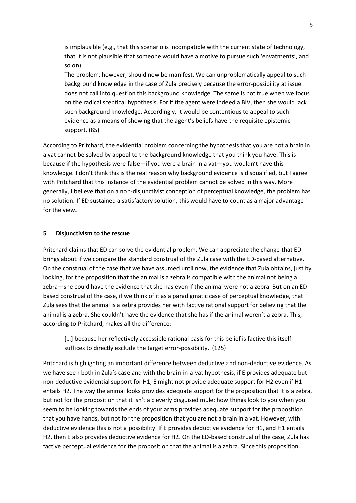is implausible (e.g., that this scenario is incompatible with the current state of technology, that it is not plausible that someone would have a motive to pursue such 'envatments', and so on).

The problem, however, should now be manifest. We can unproblematically appeal to such background knowledge in the case of Zula precisely because the error-possibility at issue does not call into question this background knowledge. The same is not true when we focus on the radical sceptical hypothesis. For if the agent were indeed a BIV, then she would lack such background knowledge. Accordingly, it would be contentious to appeal to such evidence as a means of showing that the agent's beliefs have the requisite epistemic support. (85)

According to Pritchard, the evidential problem concerning the hypothesis that you are not a brain in a vat cannot be solved by appeal to the background knowledge that you think you have. This is because if the hypothesis were false—if you were a brain in a vat—you wouldn't have this knowledge. I don't think this is the real reason why background evidence is disqualified, but I agree with Pritchard that this instance of the evidential problem cannot be solved in this way. More generally, I believe that on a non-disjunctivist conception of perceptual knowledge, the problem has no solution. If ED sustained a satisfactory solution, this would have to count as a major advantage for the view.

#### **5 Disjunctivism to the rescue**

Pritchard claims that ED can solve the evidential problem. We can appreciate the change that ED brings about if we compare the standard construal of the Zula case with the ED-based alternative. On the construal of the case that we have assumed until now, the evidence that Zula obtains, just by looking, for the proposition that the animal is a zebra is compatible with the animal not being a zebra—she could have the evidence that she has even if the animal were not a zebra. But on an EDbased construal of the case, if we think of it as a paradigmatic case of perceptual knowledge, that Zula sees that the animal is a zebra provides her with factive rational support for believing that the animal is a zebra. She couldn't have the evidence that she has if the animal weren't a zebra. This, according to Pritchard, makes all the difference:

[...] because her reflectively accessible rational basis for this belief is factive this itself suffices to directly exclude the target error-possibility. (125)

Pritchard is highlighting an important difference between deductive and non-deductive evidence. As we have seen both in Zula's case and with the brain-in-a-vat hypothesis, if E provides adequate but non-deductive evidential support for H1, E might not provide adequate support for H2 even if H1 entails H2. The way the animal looks provides adequate support for the proposition that it is a zebra, but not for the proposition that it isn't a cleverly disguised mule; how things look to you when you seem to be looking towards the ends of your arms provides adequate support for the proposition that you have hands, but not for the proposition that you are not a brain in a vat. However, with deductive evidence this is not a possibility. If E provides deductive evidence for H1, and H1 entails H2, then E also provides deductive evidence for H2. On the ED-based construal of the case, Zula has factive perceptual evidence for the proposition that the animal is a zebra. Since this proposition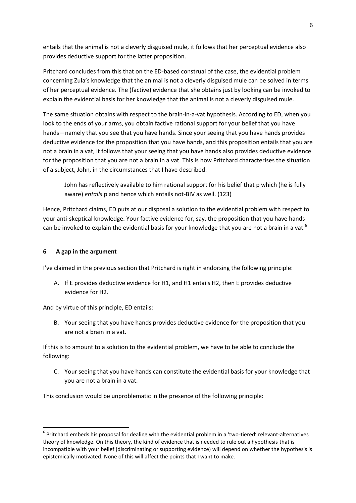entails that the animal is not a cleverly disguised mule, it follows that her perceptual evidence also provides deductive support for the latter proposition.

Pritchard concludes from this that on the ED-based construal of the case, the evidential problem concerning Zula's knowledge that the animal is not a cleverly disguised mule can be solved in terms of her perceptual evidence. The (factive) evidence that she obtains just by looking can be invoked to explain the evidential basis for her knowledge that the animal is not a cleverly disguised mule.

The same situation obtains with respect to the brain-in-a-vat hypothesis. According to ED, when you look to the ends of your arms, you obtain factive rational support for your belief that you have hands—namely that you see that you have hands. Since your seeing that you have hands provides deductive evidence for the proposition that you have hands, and this proposition entails that you are not a brain in a vat, it follows that your seeing that you have hands also provides deductive evidence for the proposition that you are not a brain in a vat. This is how Pritchard characterises the situation of a subject, John, in the circumstances that I have described:

John has reflectively available to him rational support for his belief that p which (he is fully aware) *entails* p and hence which entails not-BIV as well. (123)

Hence, Pritchard claims, ED puts at our disposal a solution to the evidential problem with respect to your anti-skeptical knowledge. Your factive evidence for, say, the proposition that you have hands can be invoked to explain the evidential basis for your knowledge that you are not a brain in a vat.<sup>6</sup>

### **6 A gap in the argument**

**.** 

I've claimed in the previous section that Pritchard is right in endorsing the following principle:

A. If E provides deductive evidence for H1, and H1 entails H2, then E provides deductive evidence for H2.

And by virtue of this principle, ED entails:

B. Your seeing that you have hands provides deductive evidence for the proposition that you are not a brain in a vat.

If this is to amount to a solution to the evidential problem, we have to be able to conclude the following:

C. Your seeing that you have hands can constitute the evidential basis for your knowledge that you are not a brain in a vat.

This conclusion would be unproblematic in the presence of the following principle:

 $<sup>6</sup>$  Pritchard embeds his proposal for dealing with the evidential problem in a 'two-tiered' relevant-alternatives</sup> theory of knowledge. On this theory, the kind of evidence that is needed to rule out a hypothesis that is incompatible with your belief (discriminating or supporting evidence) will depend on whether the hypothesis is epistemically motivated. None of this will affect the points that I want to make.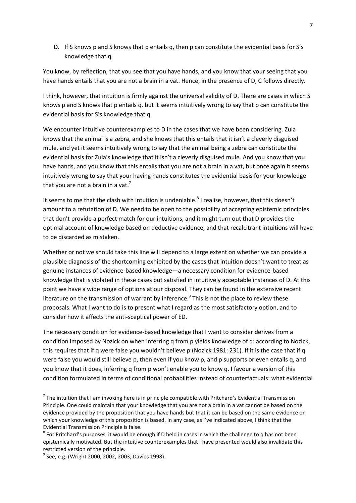D. If S knows p and S knows that p entails q, then p can constitute the evidential basis for S's knowledge that q.

You know, by reflection, that you see that you have hands, and you know that your seeing that you have hands entails that you are not a brain in a vat. Hence, in the presence of D, C follows directly.

I think, however, that intuition is firmly against the universal validity of D. There are cases in which S knows p and S knows that p entails q, but it seems intuitively wrong to say that p can constitute the evidential basis for S's knowledge that q.

We encounter intuitive counterexamples to D in the cases that we have been considering. Zula knows that the animal is a zebra, and she knows that this entails that it isn't a cleverly disguised mule, and yet it seems intuitively wrong to say that the animal being a zebra can constitute the evidential basis for Zula's knowledge that it isn't a cleverly disguised mule. And you know that you have hands, and you know that this entails that you are not a brain in a vat, but once again it seems intuitively wrong to say that your having hands constitutes the evidential basis for your knowledge that you are not a brain in a vat.<sup>7</sup>

It seems to me that the clash with intuition is undeniable.<sup>8</sup> I realise, however, that this doesn't amount to a refutation of D. We need to be open to the possibility of accepting epistemic principles that don't provide a perfect match for our intuitions, and it might turn out that D provides the optimal account of knowledge based on deductive evidence, and that recalcitrant intuitions will have to be discarded as mistaken.

Whether or not we should take this line will depend to a large extent on whether we can provide a plausible diagnosis of the shortcoming exhibited by the cases that intuition doesn't want to treat as genuine instances of evidence-based knowledge—a necessary condition for evidence-based knowledge that is violated in these cases but satisfied in intuitively acceptable instances of D. At this point we have a wide range of options at our disposal. They can be found in the extensive recent literature on the transmission of warrant by inference.<sup>9</sup> This is not the place to review these proposals. What I want to do is to present what I regard as the most satisfactory option, and to consider how it affects the anti-sceptical power of ED.

The necessary condition for evidence-based knowledge that I want to consider derives from a condition imposed by Nozick on when inferring q from p yields knowledge of q: according to Nozick, this requires that if q were false you wouldn't believe p [\(Nozick 1981: 231\)](#page-9-2). If it is the case that if q were false you would still believe p, then even if you know p, and p supports or even entails q, and you know that it does, inferring q from p won't enable you to know q. I favour a version of this condition formulated in terms of conditional probabilities instead of counterfactuals: what evidential

**THE INTER 18 AT A THE INTER THE TIM**<br>The intuition that I am invoking here is in principle compatible with Pritchard's Evidential Transmission Principle. One could maintain that your knowledge that you are not a brain in a vat cannot be based on the evidence provided by the proposition that you have hands but that it can be based on the same evidence on which your knowledge of this proposition is based. In any case, as I've indicated above, I think that the Evidential Transmission Principle is false.

 $^8$  For Pritchard's purposes, it would be enough if D held in cases in which the challenge to q has not been epistemically motivated. But the intuitive counterexamples that I have presented would also invalidate this restricted version of the principle.

<sup>9</sup> See, e.g. [\(Wright 2000,](#page-9-7) [2002,](#page-9-8) [2003;](#page-9-9) [Davies 1998\)](#page-9-10).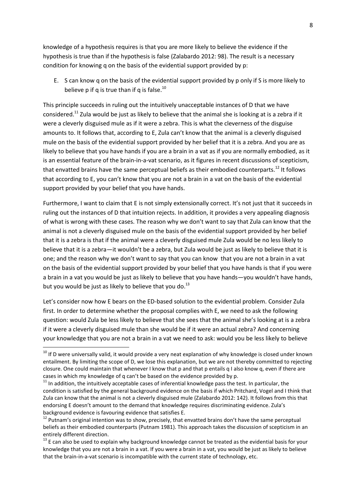knowledge of a hypothesis requires is that you are more likely to believe the evidence if the hypothesis is true than if the hypothesis is false [\(Zalabardo 2012: 98\)](#page-9-6). The result is a necessary condition for knowing q on the basis of the evidential support provided by p:

E. S can know q on the basis of the evidential support provided by p only if S is more likely to believe p if q is true than if q is false. $^{10}$ 

This principle succeeds in ruling out the intuitively unacceptable instances of D that we have considered.<sup>11</sup> Zula would be just as likely to believe that the animal she is looking at is a zebra if it were a cleverly disguised mule as if it were a zebra. This is what the cleverness of the disguise amounts to. It follows that, according to E, Zula can't know that the animal is a cleverly disguised mule on the basis of the evidential support provided by her belief that it is a zebra. And you are as likely to believe that you have hands if you are a brain in a vat as if you are normally embodied, as it is an essential feature of the brain-in-a-vat scenario, as it figures in recent discussions of scepticism, that envatted brains have the same perceptual beliefs as their embodied counterparts.<sup>12</sup> It follows that according to E, you can't know that you are not a brain in a vat on the basis of the evidential support provided by your belief that you have hands.

Furthermore, I want to claim that E is not simply extensionally correct. It's not just that it succeeds in ruling out the instances of D that intuition rejects. In addition, it provides a very appealing diagnosis of what is wrong with these cases. The reason why we don't want to say that Zula can know that the animal is not a cleverly disguised mule on the basis of the evidential support provided by her belief that it is a zebra is that if the animal were a cleverly disguised mule Zula would be no less likely to believe that it is a zebra—it wouldn't be a zebra, but Zula would be just as likely to believe that it is one; and the reason why we don't want to say that you can know that you are not a brain in a vat on the basis of the evidential support provided by your belief that you have hands is that if you were a brain in a vat you would be just as likely to believe that you have hands—you wouldn't have hands, but you would be just as likely to believe that you do.<sup>13</sup>

Let's consider now how E bears on the ED-based solution to the evidential problem. Consider Zula first. In order to determine whether the proposal complies with E, we need to ask the following question: would Zula be less likely to believe that she sees that the animal she's looking at is a zebra if it were a cleverly disguised mule than she would be if it were an actual zebra? And concerning your knowledge that you are not a brain in a vat we need to ask: would you be less likely to believe

**.** 

<sup>&</sup>lt;sup>10</sup> If D were universally valid, it would provide a very neat explanation of why knowledge is closed under known entailment. By limiting the scope of D, we lose this explanation, but we are not thereby committed to rejecting closure. One could maintain that whenever I know that p and that p entails q I also know q, even if there are cases in which my knowledge of q can't be based on the evidence provided by p.

 $11$  In addition, the intuitively acceptable cases of inferential knowledge pass the test. In particular, the condition is satisfied by the general background evidence on the basis if which Pritchard, Vogel and I think that Zula can know that the animal is not a cleverly disguised mule [\(Zalabardo 2012: 142\)](#page-9-6). It follows from this that endorsing E doesn't amount to the demand that knowledge requires discriminating evidence. Zula's background evidence is favouring evidence that satisfies E.

 $12$  Putnam's original intention was to show, precisely, that envatted brains don't have the same perceptual beliefs as their embodied counterparts [\(Putnam 1981\)](#page-9-1). This approach takes the discussion of scepticism in an entirely different direction.

 $13$  E can also be used to explain why background knowledge cannot be treated as the evidential basis for your knowledge that you are not a brain in a vat. If you were a brain in a vat, you would be just as likely to believe that the brain-in-a-vat scenario is incompatible with the current state of technology, etc.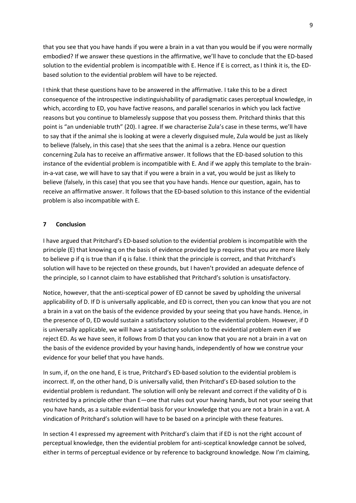that you see that you have hands if you were a brain in a vat than you would be if you were normally embodied? If we answer these questions in the affirmative, we'll have to conclude that the ED-based solution to the evidential problem is incompatible with E. Hence if E is correct, as I think it is, the EDbased solution to the evidential problem will have to be rejected.

I think that these questions have to be answered in the affirmative. I take this to be a direct consequence of the introspective indistinguishability of paradigmatic cases perceptual knowledge, in which, according to ED, you have factive reasons, and parallel scenarios in which you lack factive reasons but you continue to blamelessly suppose that you possess them. Pritchard thinks that this point is "an undeniable truth" (20). I agree. If we characterise Zula's case in these terms, we'll have to say that if the animal she is looking at were a cleverly disguised mule, Zula would be just as likely to believe (falsely, in this case) that she sees that the animal is a zebra. Hence our question concerning Zula has to receive an affirmative answer. It follows that the ED-based solution to this instance of the evidential problem is incompatible with E. And if we apply this template to the brainin-a-vat case, we will have to say that if you were a brain in a vat, you would be just as likely to believe (falsely, in this case) that you see that you have hands. Hence our question, again, has to receive an affirmative answer. It follows that the ED-based solution to this instance of the evidential problem is also incompatible with E.

### **7 Conclusion**

I have argued that Pritchard's ED-based solution to the evidential problem is incompatible with the principle (E) that knowing q on the basis of evidence provided by p requires that you are more likely to believe p if q is true than if q is false. I think that the principle is correct, and that Pritchard's solution will have to be rejected on these grounds, but I haven't provided an adequate defence of the principle, so I cannot claim to have established that Pritchard's solution is unsatisfactory.

Notice, however, that the anti-sceptical power of ED cannot be saved by upholding the universal applicability of D. If D is universally applicable, and ED is correct, then you can know that you are not a brain in a vat on the basis of the evidence provided by your seeing that you have hands. Hence, in the presence of D, ED would sustain a satisfactory solution to the evidential problem. However, if D is universally applicable, we will have a satisfactory solution to the evidential problem even if we reject ED. As we have seen, it follows from D that you can know that you are not a brain in a vat on the basis of the evidence provided by your having hands, independently of how we construe your evidence for your belief that you have hands.

In sum, if, on the one hand, E is true, Pritchard's ED-based solution to the evidential problem is incorrect. If, on the other hand, D is universally valid, then Pritchard's ED-based solution to the evidential problem is redundant. The solution will only be relevant and correct if the validity of D is restricted by a principle other than E—one that rules out your having hands, but not your seeing that you have hands, as a suitable evidential basis for your knowledge that you are not a brain in a vat. A vindication of Pritchard's solution will have to be based on a principle with these features.

In section 4 I expressed my agreement with Pritchard's claim that if ED is not the right account of perceptual knowledge, then the evidential problem for anti-sceptical knowledge cannot be solved, either in terms of perceptual evidence or by reference to background knowledge. Now I'm claiming,